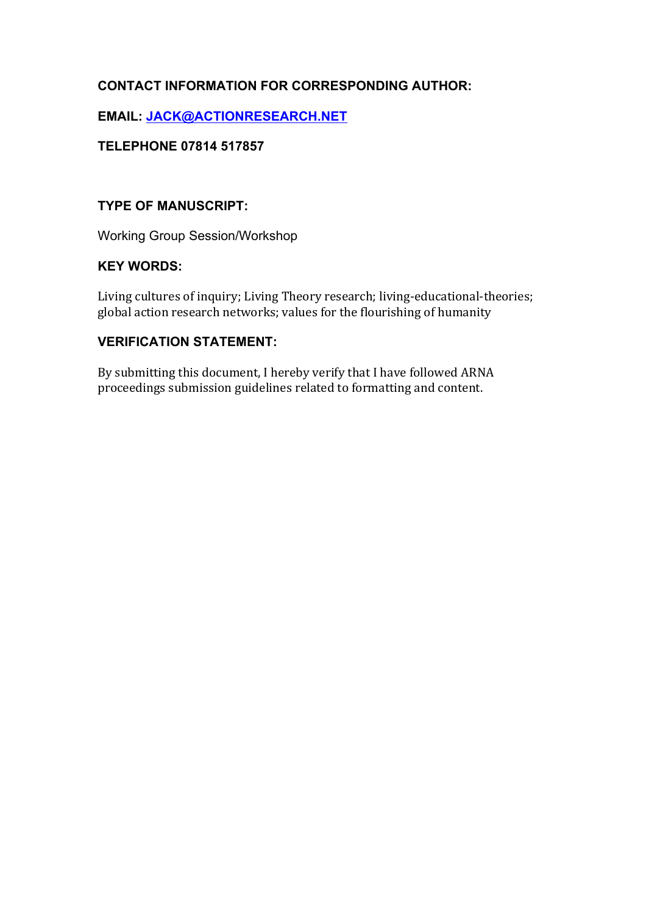# **CONTACT INFORMATION FOR CORRESPONDING AUTHOR:**

## **EMAIL: JACK@ACTIONRESEARCH.NET**

## **TELEPHONE 07814 517857**

## **TYPE OF MANUSCRIPT:**

Working Group Session/Workshop

# **KEY WORDS:**

Living cultures of inquiry; Living Theory research; living-educational-theories; global action research networks; values for the flourishing of humanity

## **VERIFICATION STATEMENT:**

By submitting this document, I hereby verify that I have followed ARNA proceedings submission guidelines related to formatting and content.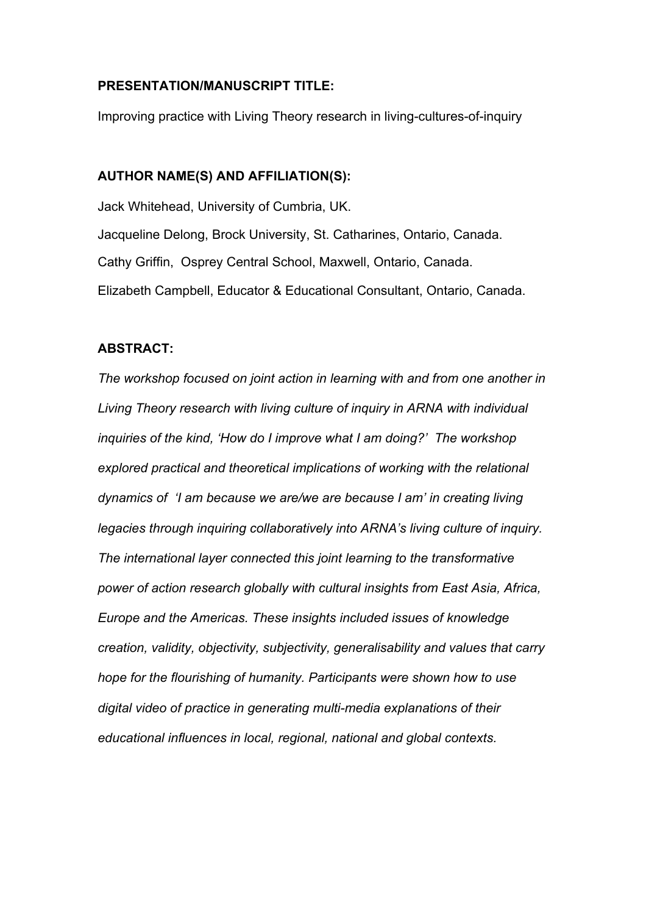#### **PRESENTATION/MANUSCRIPT TITLE:**

Improving practice with Living Theory research in living-cultures-of-inquiry

### **AUTHOR NAME(S) AND AFFILIATION(S):**

Jack Whitehead, University of Cumbria, UK. Jacqueline Delong, Brock University, St. Catharines, Ontario, Canada. Cathy Griffin, Osprey Central School, Maxwell, Ontario, Canada. Elizabeth Campbell, Educator & Educational Consultant, Ontario, Canada.

#### **ABSTRACT:**

*The workshop focused on joint action in learning with and from one another in Living Theory research with living culture of inquiry in ARNA with individual inquiries of the kind, 'How do I improve what I am doing?' The workshop explored practical and theoretical implications of working with the relational dynamics of 'I am because we are/we are because I am' in creating living legacies through inquiring collaboratively into ARNA's living culture of inquiry. The international layer connected this joint learning to the transformative power of action research globally with cultural insights from East Asia, Africa, Europe and the Americas. These insights included issues of knowledge creation, validity, objectivity, subjectivity, generalisability and values that carry hope for the flourishing of humanity. Participants were shown how to use digital video of practice in generating multi-media explanations of their educational influences in local, regional, national and global contexts.*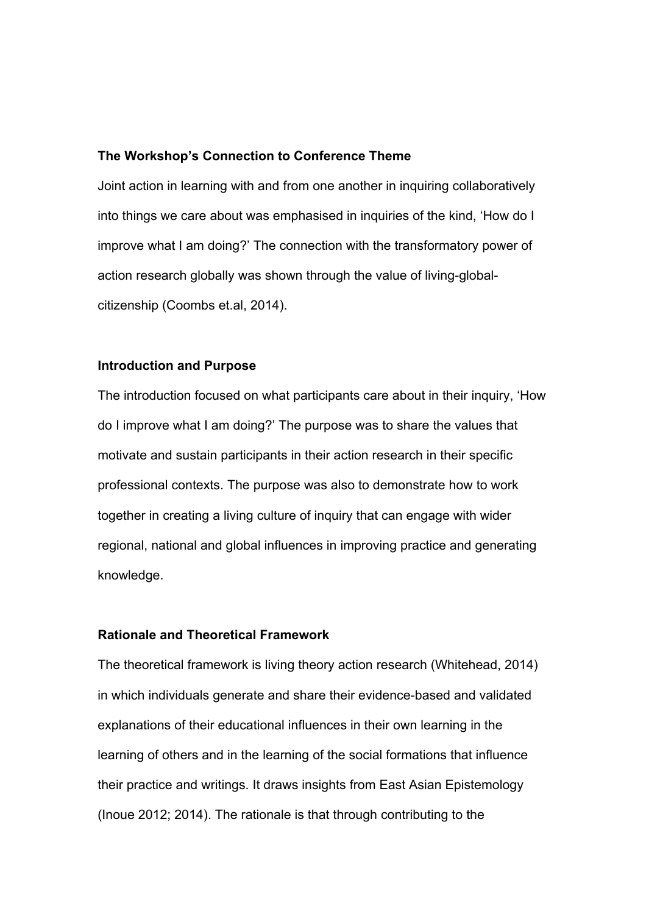#### **The Workshop's Connection to Conference Theme**

Joint action in learning with and from one another in inquiring collaboratively into things we care about was emphasised in inquiries of the kind, 'How do I improve what I am doing?' The connection with the transformatory power of action research globally was shown through the value of living-globalcitizenship (Coombs et.al, 2014).

#### **Introduction and Purpose**

The introduction focused on what participants care about in their inquiry, 'How do I improve what I am doing?' The purpose was to share the values that motivate and sustain participants in their action research in their specific professional contexts. The purpose was also to demonstrate how to work together in creating a living culture of inquiry that can engage with wider regional, national and global influences in improving practice and generating knowledge.

### **Rationale and Theoretical Framework**

The theoretical framework is living theory action research (Whitehead, 2014) in which individuals generate and share their evidence-based and validated explanations of their educational influences in their own learning in the learning of others and in the learning of the social formations that influence their practice and writings. It draws insights from East Asian Epistemology (Inoue 2012; 2014). The rationale is that through contributing to the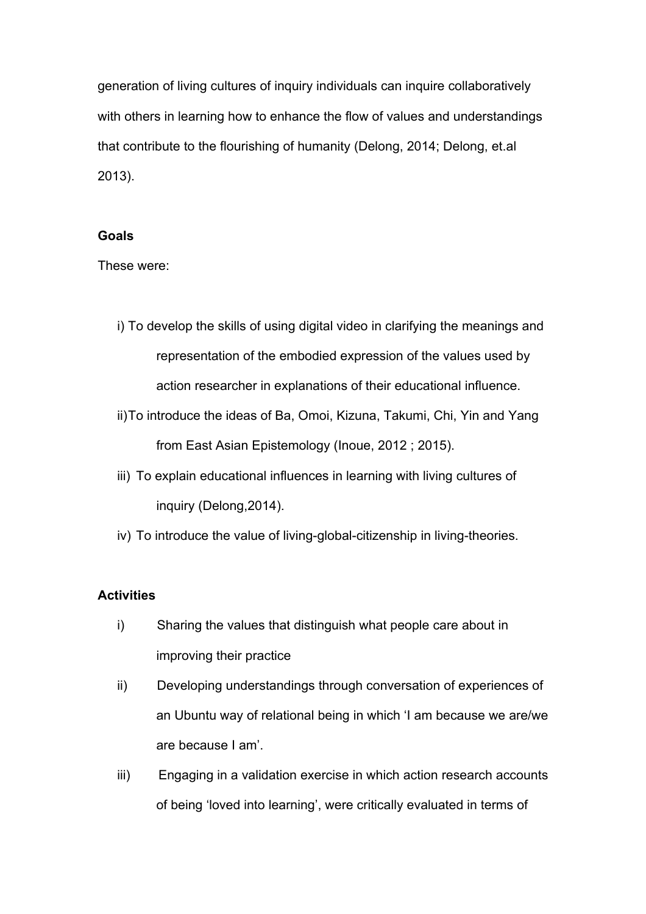generation of living cultures of inquiry individuals can inquire collaboratively with others in learning how to enhance the flow of values and understandings that contribute to the flourishing of humanity (Delong, 2014; Delong, et.al 2013).

#### **Goals**

These were:

- i) To develop the skills of using digital video in clarifying the meanings and representation of the embodied expression of the values used by action researcher in explanations of their educational influence.
- ii)To introduce the ideas of Ba, Omoi, Kizuna, Takumi, Chi, Yin and Yang from East Asian Epistemology (Inoue, 2012 ; 2015).
- iii) To explain educational influences in learning with living cultures of inquiry (Delong,2014).
- iv) To introduce the value of living-global-citizenship in living-theories.

### **Activities**

- i) Sharing the values that distinguish what people care about in improving their practice
- ii) Developing understandings through conversation of experiences of an Ubuntu way of relational being in which 'I am because we are/we are because I am'.
- iii) Engaging in a validation exercise in which action research accounts of being 'loved into learning', were critically evaluated in terms of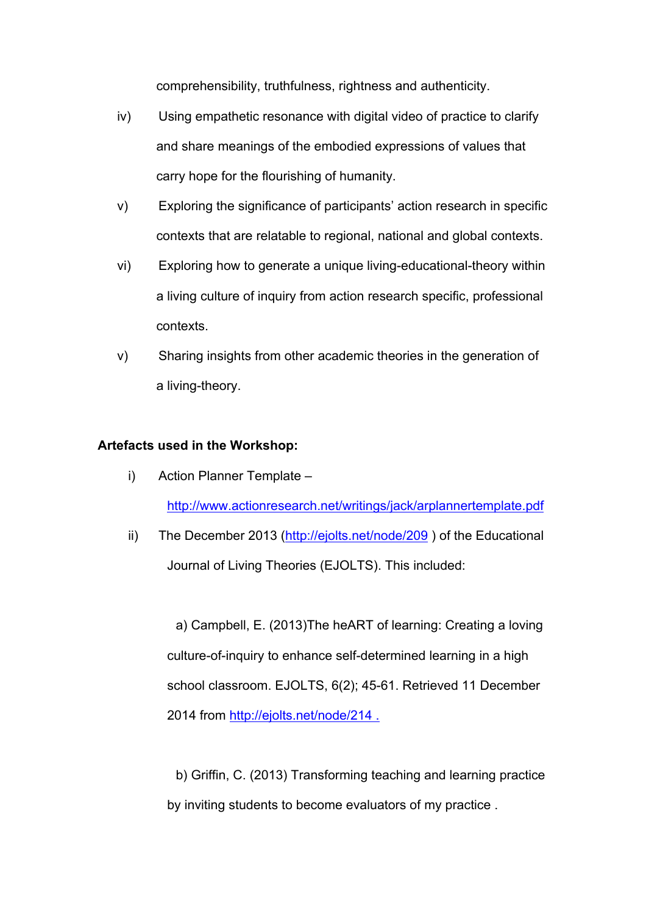comprehensibility, truthfulness, rightness and authenticity.

- iv) Using empathetic resonance with digital video of practice to clarify and share meanings of the embodied expressions of values that carry hope for the flourishing of humanity.
- v) Exploring the significance of participants' action research in specific contexts that are relatable to regional, national and global contexts.
- vi) Exploring how to generate a unique living-educational-theory within a living culture of inquiry from action research specific, professional contexts.
- v) Sharing insights from other academic theories in the generation of a living-theory.

### **Artefacts used in the Workshop:**

- i) Action Planner Template http://www.actionresearch.net/writings/jack/arplannertemplate.pdf
- ii) The December 2013 (http://ejolts.net/node/209) of the Educational Journal of Living Theories (EJOLTS). This included:

a) Campbell, E. (2013)The heART of learning: Creating a loving culture-of-inquiry to enhance self-determined learning in a high school classroom. EJOLTS, 6(2); 45-61. Retrieved 11 December 2014 from http://ejolts.net/node/214 .

b) Griffin, C. (2013) Transforming teaching and learning practice by inviting students to become evaluators of my practice .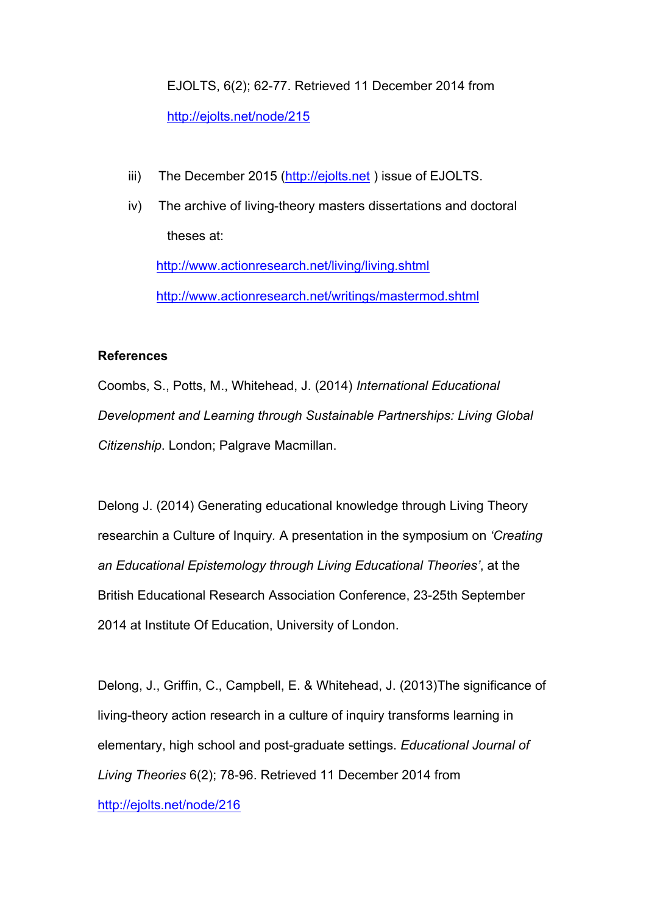EJOLTS, 6(2); 62-77. Retrieved 11 December 2014 from http://ejolts.net/node/215

- iii) The December 2015 (http://ejolts.net) issue of EJOLTS.
- iv) The archive of living-theory masters dissertations and doctoral theses at: http://www.actionresearch.net/living/living.shtml http://www.actionresearch.net/writings/mastermod.shtml

### **References**

Coombs, S., Potts, M., Whitehead, J. (2014) *International Educational Development and Learning through Sustainable Partnerships: Living Global Citizenship*. London; Palgrave Macmillan.

Delong J. (2014) Generating educational knowledge through Living Theory researchin a Culture of Inquiry*.* A presentation in the symposium on *'Creating an Educational Epistemology through Living Educational Theories'*, at the British Educational Research Association Conference, 23-25th September 2014 at Institute Of Education, University of London.

Delong, J., Griffin, C., Campbell, E. & Whitehead, J. (2013)The significance of living-theory action research in a culture of inquiry transforms learning in elementary, high school and post-graduate settings. *Educational Journal of Living Theories* 6(2); 78-96. Retrieved 11 December 2014 from http://ejolts.net/node/216